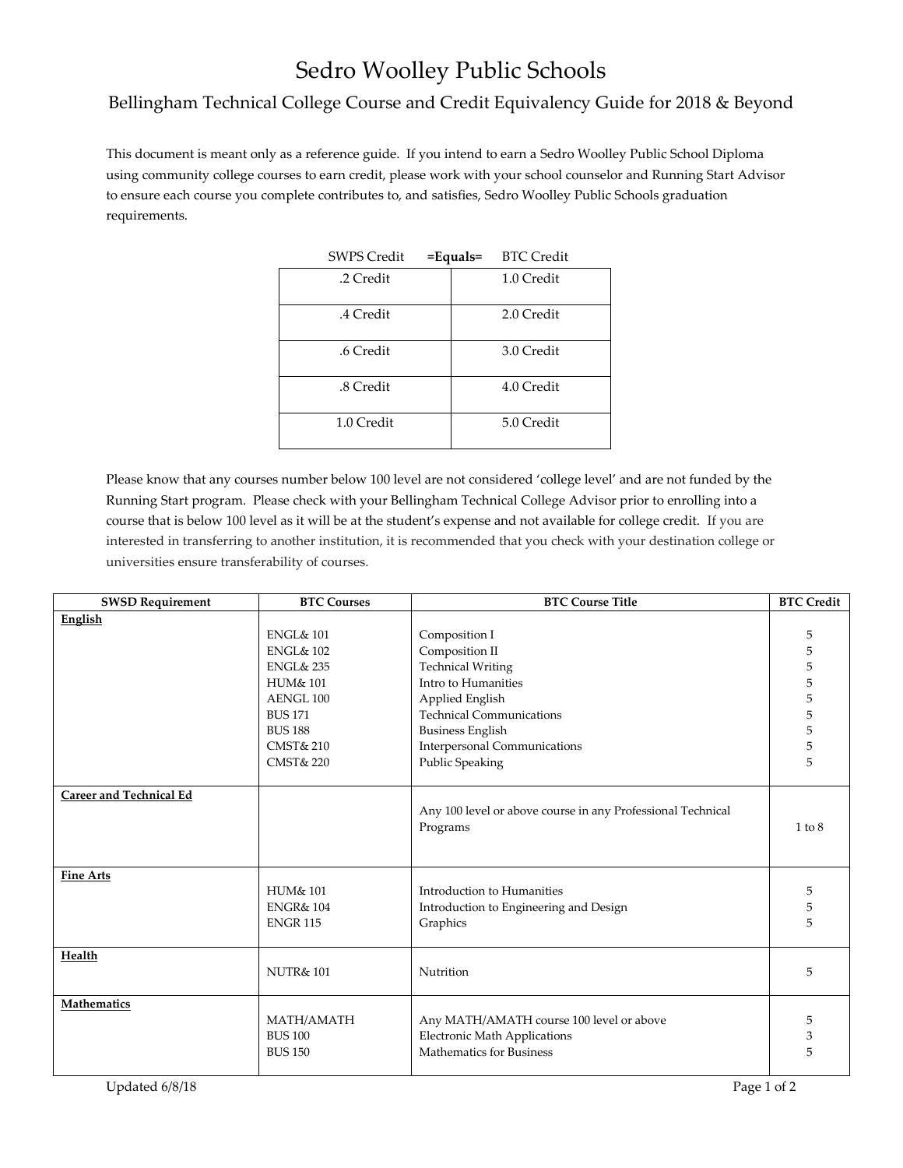## Sedro Woolley Public Schools

## Bellingham Technical College Course and Credit Equivalency Guide for 2018 & Beyond

This document is meant only as a reference guide. If you intend to earn a Sedro Woolley Public School Diploma using community college courses to earn credit, please work with your school counselor and Running Start Advisor to ensure each course you complete contributes to, and satisfies, Sedro Woolley Public Schools graduation requirements.

| <b>SWPS Credit</b> | $=$ Equals $=$ | <b>BTC Credit</b> |
|--------------------|----------------|-------------------|
| .2 Credit          |                | 1.0 Credit        |
| .4 Credit          |                | 2.0 Credit        |
| .6 Credit          |                | 3.0 Credit        |
| .8 Credit          |                | 4.0 Credit        |
| 1.0 Credit         |                | 5.0 Credit        |

Please know that any courses number below 100 level are not considered 'college level' and are not funded by the Running Start program. Please check with your Bellingham Technical College Advisor prior to enrolling into a course that is below 100 level as it will be at the student's expense and not available for college credit. If you are interested in transferring to another institution, it is recommended that you check with your destination college or universities ensure transferability of courses.

| <b>SWSD Requirement</b>        | <b>BTC Courses</b>   | <b>BTC Course Title</b>                                     | <b>BTC Credit</b> |
|--------------------------------|----------------------|-------------------------------------------------------------|-------------------|
| English                        |                      |                                                             |                   |
|                                | <b>ENGL&amp; 101</b> | Composition I                                               | 5                 |
|                                | <b>ENGL&amp; 102</b> | Composition II                                              | 5                 |
|                                | <b>ENGL&amp; 235</b> | <b>Technical Writing</b>                                    | 5                 |
|                                | <b>HUM&amp; 101</b>  | Intro to Humanities                                         | 5                 |
|                                | AENGL 100            | Applied English                                             | 5                 |
|                                | <b>BUS 171</b>       | <b>Technical Communications</b>                             | 5                 |
|                                | <b>BUS 188</b>       | <b>Business English</b>                                     | 5                 |
|                                | <b>CMST&amp; 210</b> | Interpersonal Communications                                | 5                 |
|                                | <b>CMST&amp; 220</b> | Public Speaking                                             | 5                 |
|                                |                      |                                                             |                   |
| <b>Career and Technical Ed</b> |                      |                                                             |                   |
|                                |                      | Any 100 level or above course in any Professional Technical |                   |
|                                |                      | Programs                                                    | 1 to 8            |
|                                |                      |                                                             |                   |
|                                |                      |                                                             |                   |
| <b>Fine Arts</b>               |                      |                                                             |                   |
|                                | HUM& 101             | Introduction to Humanities                                  | 5                 |
|                                | <b>ENGR&amp; 104</b> | Introduction to Engineering and Design                      | 5                 |
|                                | <b>ENGR 115</b>      | Graphics                                                    | 5                 |
|                                |                      |                                                             |                   |
| Health                         | <b>NUTR&amp;101</b>  | Nutrition                                                   | 5                 |
|                                |                      |                                                             |                   |
| <b>Mathematics</b>             |                      |                                                             |                   |
|                                | MATH/AMATH           | Any MATH/AMATH course 100 level or above                    | 5                 |
|                                | <b>BUS 100</b>       | Electronic Math Applications                                | 3                 |
|                                | <b>BUS 150</b>       | Mathematics for Business                                    | 5                 |
|                                |                      |                                                             |                   |